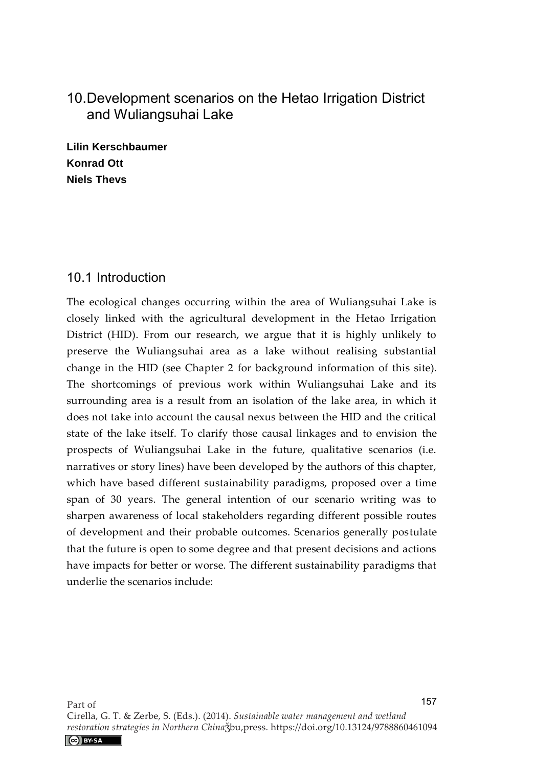# 10. Development scenarios on the Hetao Irrigation District and Wuliangsuhai Lake

**Lilin Kerschbaumer Konrad Ott Niels Thevs** 

### 10.1 Introduction

The ecological changes occurring within the area of Wuliangsuhai Lake is closely linked with the agricultural development in the Hetao Irrigation District (HID). From our research, we argue that it is highly unlikely to preserve the Wuliangsuhai area as a lake without realising substantial change in the HID (see Chapter 2 for background information of this site). The shortcomings of previous work within Wuliangsuhai Lake and its surrounding area is a result from an isolation of the lake area, in which it does not take into account the causal nexus between the HID and the critical state of the lake itself. To clarify those causal linkages and to envision the prospects of Wuliangsuhai Lake in the future, qualitative scenarios (i.e. narratives or story lines) have been developed by the authors of this chapter, which have based different sustainability paradigms, proposed over a time span of 30 years. The general intention of our scenario writing was to sharpen awareness of local stakeholders regarding different possible routes of development and their probable outcomes. Scenarios generally postulate that the future is open to some degree and that present decisions and actions have impacts for better or worse. The different sustainability paradigms that underlie the scenarios include: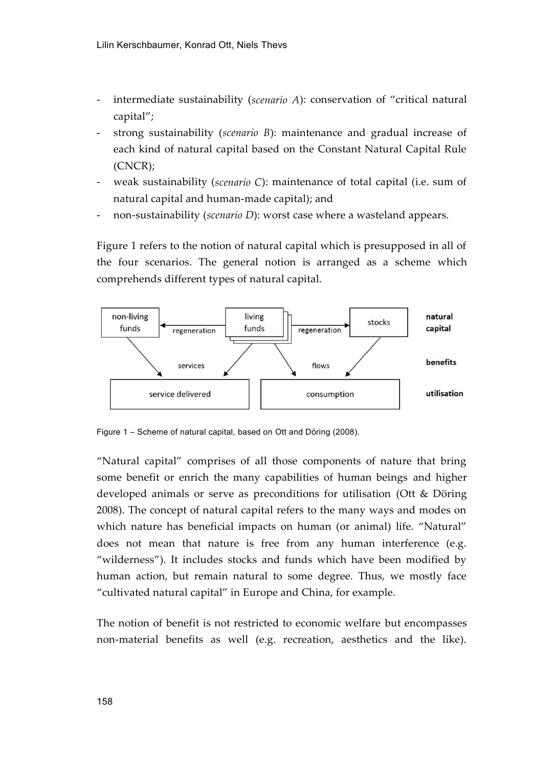- intermediate sustainability (*scenario A*): conservation of "critical natural capital";
- strong sustainability (*scenario B*): maintenance and gradual increase of each kind of natural capital based on the Constant Natural Capital Rule (CNCR);
- weak sustainability (*scenario C*): maintenance of total capital (i.e. sum of natural capital and human-made capital); and
- non-sustainability (*scenario D*): worst case where a wasteland appears.

Figure 1 refers to the notion of natural capital which is presupposed in all of the four scenarios. The general notion is arranged as a scheme which comprehends different types of natural capital.



Figure 1 – Scheme of natural capital, based on Ott and Döring (2008).

"Natural capital" comprises of all those components of nature that bring some benefit or enrich the many capabilities of human beings and higher developed animals or serve as preconditions for utilisation (Ott & Döring 2008). The concept of natural capital refers to the many ways and modes on which nature has beneficial impacts on human (or animal) life. "Natural" does not mean that nature is free from any human interference (e.g. "wilderness"). It includes stocks and funds which have been modified by human action, but remain natural to some degree. Thus, we mostly face "cultivated natural capital" in Europe and China, for example.

The notion of benefit is not restricted to economic welfare but encompasses non-material benefits as well (e.g. recreation, aesthetics and the like).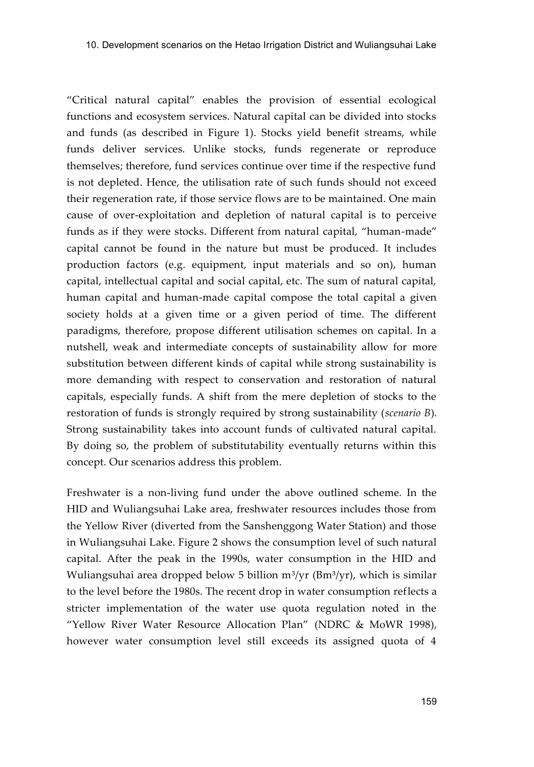"Critical natural capital" enables the provision of essential ecological functions and ecosystem services. Natural capital can be divided into stocks and funds (as described in Figure 1). Stocks yield benefit streams, while funds deliver services. Unlike stocks, funds regenerate or reproduce themselves; therefore, fund services continue over time if the respective fund is not depleted. Hence, the utilisation rate of such funds should not exceed their regeneration rate, if those service flows are to be maintained. One main cause of over-exploitation and depletion of natural capital is to perceive funds as if they were stocks. Different from natural capital, "human-made" capital cannot be found in the nature but must be produced. It includes production factors (e.g. equipment, input materials and so on), human capital, intellectual capital and social capital, etc. The sum of natural capital, human capital and human-made capital compose the total capital a given society holds at a given time or a given period of time. The different paradigms, therefore, propose different utilisation schemes on capital. In a nutshell, weak and intermediate concepts of sustainability allow for more substitution between different kinds of capital while strong sustainability is more demanding with respect to conservation and restoration of natural capitals, especially funds. A shift from the mere depletion of stocks to the restoration of funds is strongly required by strong sustainability (*scenario B*). Strong sustainability takes into account funds of cultivated natural capital. By doing so, the problem of substitutability eventually returns within this concept. Our scenarios address this problem.

Freshwater is a non-living fund under the above outlined scheme. In the HID and Wuliangsuhai Lake area, freshwater resources includes those from the Yellow River (diverted from the Sanshenggong Water Station) and those in Wuliangsuhai Lake. Figure 2 shows the consumption level of such natural capital. After the peak in the 1990s, water consumption in the HID and Wuliangsuhai area dropped below 5 billion  $m^3/yr$  (Bm $^3/yr$ ), which is similar to the level before the 1980s. The recent drop in water consumption reflects a stricter implementation of the water use quota regulation noted in the "Yellow River Water Resource Allocation Plan" (NDRC & MoWR 1998), however water consumption level still exceeds its assigned quota of 4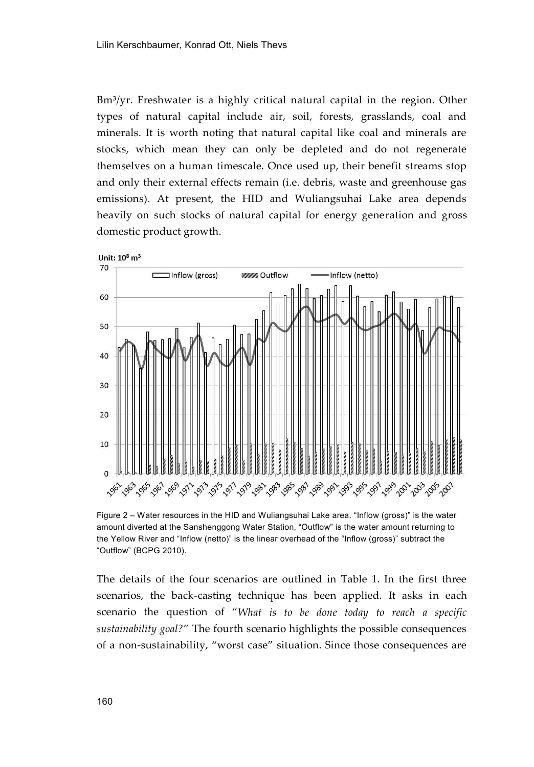Bm<sup>3</sup>/yr. Freshwater is a highly critical natural capital in the region. Other types of natural capital include air, soil, forests, grasslands, coal and minerals. It is worth noting that natural capital like coal and minerals are stocks, which mean they can only be depleted and do not regenerate themselves on a human timescale. Once used up, their benefit streams stop and only their external effects remain (i.e. debris, waste and greenhouse gas emissions). At present, the HID and Wuliangsuhai Lake area depends heavily on such stocks of natural capital for energy generation and gross domestic product growth.



Figure 2 – Water resources in the HID and Wuliangsuhai Lake area. "Inflow (gross)" is the water amount diverted at the Sanshenggong Water Station, "Outflow" is the water amount returning to the Yellow River and "Inflow (netto)" is the linear overhead of the "Inflow (gross)" subtract the "Outflow" (BCPG 2010).

The details of the four scenarios are outlined in Table 1. In the first three scenarios, the back-casting technique has been applied. It asks in each scenario the question of "*What is to be done today to reach a specific sustainability goal?*" The fourth scenario highlights the possible consequences of a non-sustainability, "worst case" situation. Since those consequences are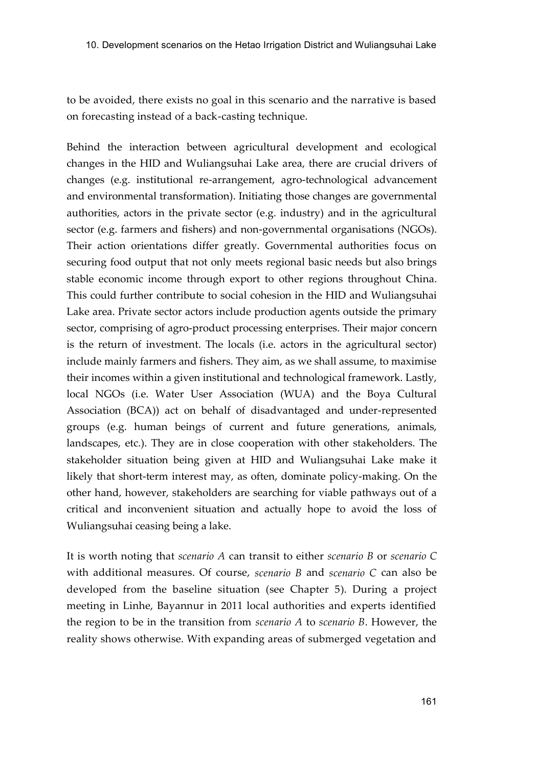to be avoided, there exists no goal in this scenario and the narrative is based on forecasting instead of a back-casting technique.

Behind the interaction between agricultural development and ecological changes in the HID and Wuliangsuhai Lake area, there are crucial drivers of changes (e.g. institutional re-arrangement, agro-technological advancement and environmental transformation). Initiating those changes are governmental authorities, actors in the private sector (e.g. industry) and in the agricultural sector (e.g. farmers and fishers) and non-governmental organisations (NGOs). Their action orientations differ greatly. Governmental authorities focus on securing food output that not only meets regional basic needs but also brings stable economic income through export to other regions throughout China. This could further contribute to social cohesion in the HID and Wuliangsuhai Lake area. Private sector actors include production agents outside the primary sector, comprising of agro-product processing enterprises. Their major concern is the return of investment. The locals (i.e. actors in the agricultural sector) include mainly farmers and fishers. They aim, as we shall assume, to maximise their incomes within a given institutional and technological framework. Lastly, local NGOs (i.e. Water User Association (WUA) and the Boya Cultural Association (BCA)) act on behalf of disadvantaged and under-represented groups (e.g. human beings of current and future generations, animals, landscapes, etc.). They are in close cooperation with other stakeholders. The stakeholder situation being given at HID and Wuliangsuhai Lake make it likely that short-term interest may, as often, dominate policy-making. On the other hand, however, stakeholders are searching for viable pathways out of a critical and inconvenient situation and actually hope to avoid the loss of Wuliangsuhai ceasing being a lake.

It is worth noting that *scenario A* can transit to either *scenario B* or *scenario C* with additional measures. Of course, *scenario B* and *scenario C* can also be developed from the baseline situation (see Chapter 5). During a project meeting in Linhe, Bayannur in 2011 local authorities and experts identified the region to be in the transition from *scenario A* to *scenario B*. However, the reality shows otherwise. With expanding areas of submerged vegetation and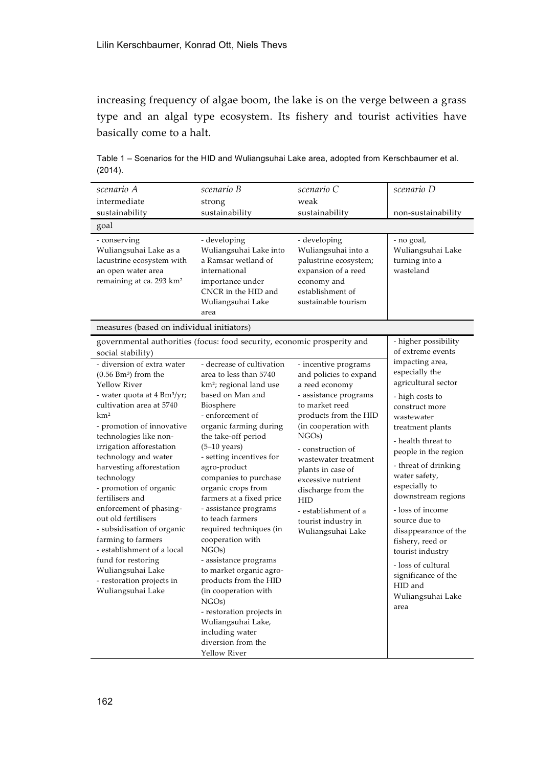increasing frequency of algae boom, the lake is on the verge between a grass type and an algal type ecosystem. Its fishery and tourist activities have basically come to a halt.

Table 1 – Scenarios for the HID and Wuliangsuhai Lake area, adopted from Kerschbaumer et al. (2014).

| scenario A                                                                                                                                                                                                                                                                                                                                                                                                                                                                                                                                                                                                            | scenario B                                                                                                                                                                                                                                                                                                                                                                                                                                                                                                                                                                                                                                                                                                         | scenario C                                                                                                                                                                                                                                                                                                                                                        | scenario D                                                                                                                                                                                                                                                                                                                                                                                                                                                                                           |
|-----------------------------------------------------------------------------------------------------------------------------------------------------------------------------------------------------------------------------------------------------------------------------------------------------------------------------------------------------------------------------------------------------------------------------------------------------------------------------------------------------------------------------------------------------------------------------------------------------------------------|--------------------------------------------------------------------------------------------------------------------------------------------------------------------------------------------------------------------------------------------------------------------------------------------------------------------------------------------------------------------------------------------------------------------------------------------------------------------------------------------------------------------------------------------------------------------------------------------------------------------------------------------------------------------------------------------------------------------|-------------------------------------------------------------------------------------------------------------------------------------------------------------------------------------------------------------------------------------------------------------------------------------------------------------------------------------------------------------------|------------------------------------------------------------------------------------------------------------------------------------------------------------------------------------------------------------------------------------------------------------------------------------------------------------------------------------------------------------------------------------------------------------------------------------------------------------------------------------------------------|
| intermediate                                                                                                                                                                                                                                                                                                                                                                                                                                                                                                                                                                                                          | strong                                                                                                                                                                                                                                                                                                                                                                                                                                                                                                                                                                                                                                                                                                             | weak                                                                                                                                                                                                                                                                                                                                                              |                                                                                                                                                                                                                                                                                                                                                                                                                                                                                                      |
| sustainability                                                                                                                                                                                                                                                                                                                                                                                                                                                                                                                                                                                                        | sustainability                                                                                                                                                                                                                                                                                                                                                                                                                                                                                                                                                                                                                                                                                                     | sustainability                                                                                                                                                                                                                                                                                                                                                    | non-sustainability                                                                                                                                                                                                                                                                                                                                                                                                                                                                                   |
| goal                                                                                                                                                                                                                                                                                                                                                                                                                                                                                                                                                                                                                  |                                                                                                                                                                                                                                                                                                                                                                                                                                                                                                                                                                                                                                                                                                                    |                                                                                                                                                                                                                                                                                                                                                                   |                                                                                                                                                                                                                                                                                                                                                                                                                                                                                                      |
| - conserving<br>Wuliangsuhai Lake as a<br>lacustrine ecosystem with<br>an open water area<br>remaining at ca. 293 km <sup>2</sup>                                                                                                                                                                                                                                                                                                                                                                                                                                                                                     | - developing<br>Wuliangsuhai Lake into<br>a Ramsar wetland of<br>international<br>importance under<br>CNCR in the HID and<br>Wuliangsuhai Lake<br>area                                                                                                                                                                                                                                                                                                                                                                                                                                                                                                                                                             | - developing<br>Wuliangsuhai into a<br>palustrine ecosystem;<br>expansion of a reed<br>economy and<br>establishment of<br>sustainable tourism                                                                                                                                                                                                                     | - no goal,<br>Wuliangsuhai Lake<br>turning into a<br>wasteland                                                                                                                                                                                                                                                                                                                                                                                                                                       |
| measures (based on individual initiators)                                                                                                                                                                                                                                                                                                                                                                                                                                                                                                                                                                             |                                                                                                                                                                                                                                                                                                                                                                                                                                                                                                                                                                                                                                                                                                                    |                                                                                                                                                                                                                                                                                                                                                                   |                                                                                                                                                                                                                                                                                                                                                                                                                                                                                                      |
| social stability)<br>- diversion of extra water<br>$(0.56 Bm3)$ from the<br>Yellow River<br>- water quota at 4 Bm <sup>3</sup> /yr;<br>cultivation area at 5740<br>km <sup>2</sup><br>- promotion of innovative<br>technologies like non-<br>irrigation afforestation<br>technology and water<br>harvesting afforestation<br>technology<br>- promotion of organic<br>fertilisers and<br>enforcement of phasing-<br>out old fertilisers<br>- subsidisation of organic<br>farming to farmers<br>- establishment of a local<br>fund for restoring<br>Wuliangsuhai Lake<br>- restoration projects in<br>Wuliangsuhai Lake | governmental authorities (focus: food security, economic prosperity and<br>- decrease of cultivation<br>area to less than 5740<br>km <sup>2</sup> ; regional land use<br>based on Man and<br>Biosphere<br>- enforcement of<br>organic farming during<br>the take-off period<br>$(5-10 \text{ years})$<br>- setting incentives for<br>agro-product<br>companies to purchase<br>organic crops from<br>farmers at a fixed price<br>- assistance programs<br>to teach farmers<br>required techniques (in<br>cooperation with<br>NGO <sub>s</sub> )<br>- assistance programs<br>to market organic agro-<br>products from the HID<br>(in cooperation with<br>$NGOs$ )<br>- restoration projects in<br>Wuliangsuhai Lake, | - incentive programs<br>and policies to expand<br>a reed economy<br>- assistance programs<br>to market reed<br>products from the HID<br>(in cooperation with<br>$NGOs$ )<br>- construction of<br>wastewater treatment<br>plants in case of<br>excessive nutrient<br>discharge from the<br>HID<br>- establishment of a<br>tourist industry in<br>Wuliangsuhai Lake | - higher possibility<br>of extreme events<br>impacting area,<br>especially the<br>agricultural sector<br>- high costs to<br>construct more<br>wastewater<br>treatment plants<br>- health threat to<br>people in the region<br>- threat of drinking<br>water safety,<br>especially to<br>downstream regions<br>- loss of income<br>source due to<br>disappearance of the<br>fishery, reed or<br>tourist industry<br>- loss of cultural<br>significance of the<br>HID and<br>Wuliangsuhai Lake<br>area |
|                                                                                                                                                                                                                                                                                                                                                                                                                                                                                                                                                                                                                       | including water<br>diversion from the<br>Yellow River                                                                                                                                                                                                                                                                                                                                                                                                                                                                                                                                                                                                                                                              |                                                                                                                                                                                                                                                                                                                                                                   |                                                                                                                                                                                                                                                                                                                                                                                                                                                                                                      |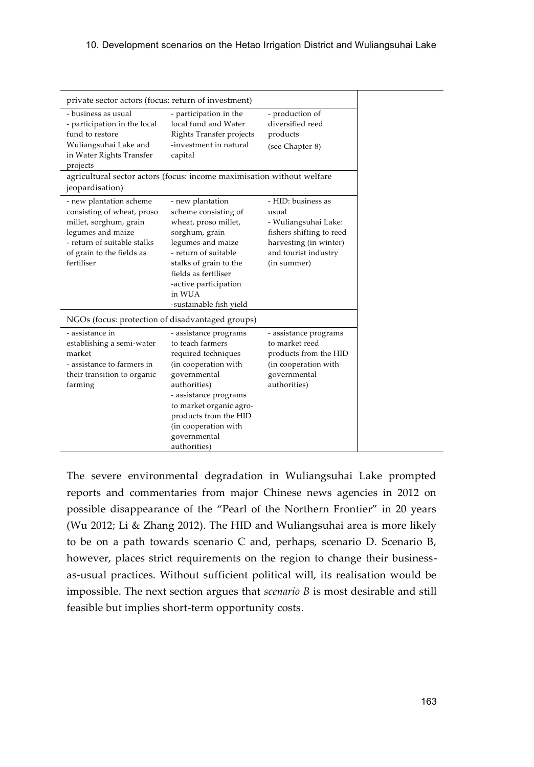| private sector actors (focus: return of investment)                                                                                                                            |                                                                                                                                                                                                                                                               |                                                                                                                                                  |
|--------------------------------------------------------------------------------------------------------------------------------------------------------------------------------|---------------------------------------------------------------------------------------------------------------------------------------------------------------------------------------------------------------------------------------------------------------|--------------------------------------------------------------------------------------------------------------------------------------------------|
| - business as usual<br>- participation in the local<br>fund to restore<br>Wuliangsuhai Lake and<br>in Water Rights Transfer<br>projects                                        | - participation in the<br>local fund and Water<br>Rights Transfer projects<br>-investment in natural<br>capital                                                                                                                                               | - production of<br>diversified reed<br>products<br>(see Chapter 8)                                                                               |
| agricultural sector actors (focus: income maximisation without welfare<br>jeopardisation)                                                                                      |                                                                                                                                                                                                                                                               |                                                                                                                                                  |
| - new plantation scheme<br>consisting of wheat, proso<br>millet, sorghum, grain<br>legumes and maize<br>- return of suitable stalks<br>of grain to the fields as<br>fertiliser | - new plantation<br>scheme consisting of<br>wheat, proso millet,<br>sorghum, grain<br>legumes and maize<br>- return of suitable<br>stalks of grain to the<br>fields as fertiliser<br>-active participation<br>in WUA<br>-sustainable fish yield               | - HID: business as<br>usual<br>- Wuliangsuhai Lake:<br>fishers shifting to reed<br>harvesting (in winter)<br>and tourist industry<br>(in summer) |
| NGOs (focus: protection of disadvantaged groups)                                                                                                                               |                                                                                                                                                                                                                                                               |                                                                                                                                                  |
| - assistance in<br>establishing a semi-water<br>market<br>- assistance to farmers in<br>their transition to organic<br>farming                                                 | - assistance programs<br>to teach farmers<br>required techniques<br>(in cooperation with<br>governmental<br>authorities)<br>- assistance programs<br>to market organic agro-<br>products from the HID<br>(in cooperation with<br>governmental<br>authorities) | - assistance programs<br>to market reed<br>products from the HID<br>(in cooperation with<br>governmental<br>authorities)                         |

The severe environmental degradation in Wuliangsuhai Lake prompted reports and commentaries from major Chinese news agencies in 2012 on possible disappearance of the "Pearl of the Northern Frontier" in 20 years (Wu 2012; Li & Zhang 2012). The HID and Wuliangsuhai area is more likely to be on a path towards scenario C and, perhaps, scenario D. Scenario B, however, places strict requirements on the region to change their businessas-usual practices. Without sufficient political will, its realisation would be impossible. The next section argues that *scenario B* is most desirable and still feasible but implies short-term opportunity costs.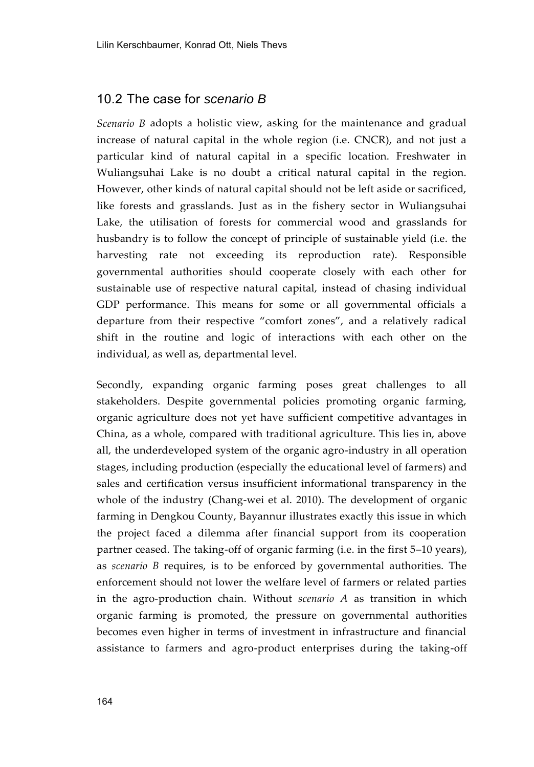#### 10.2 The case for *scenario B*

*Scenario B* adopts a holistic view, asking for the maintenance and gradual increase of natural capital in the whole region (i.e. CNCR), and not just a particular kind of natural capital in a specific location. Freshwater in Wuliangsuhai Lake is no doubt a critical natural capital in the region. However, other kinds of natural capital should not be left aside or sacrificed, like forests and grasslands. Just as in the fishery sector in Wuliangsuhai Lake, the utilisation of forests for commercial wood and grasslands for husbandry is to follow the concept of principle of sustainable yield (i.e. the harvesting rate not exceeding its reproduction rate). Responsible governmental authorities should cooperate closely with each other for sustainable use of respective natural capital, instead of chasing individual GDP performance. This means for some or all governmental officials a departure from their respective "comfort zones", and a relatively radical shift in the routine and logic of interactions with each other on the individual, as well as, departmental level.

Secondly, expanding organic farming poses great challenges to all stakeholders. Despite governmental policies promoting organic farming, organic agriculture does not yet have sufficient competitive advantages in China, as a whole, compared with traditional agriculture. This lies in, above all, the underdeveloped system of the organic agro-industry in all operation stages, including production (especially the educational level of farmers) and sales and certification versus insufficient informational transparency in the whole of the industry (Chang-wei et al. 2010). The development of organic farming in Dengkou County, Bayannur illustrates exactly this issue in which the project faced a dilemma after financial support from its cooperation partner ceased. The taking-off of organic farming (i.e. in the first 5–10 years), as *scenario B* requires, is to be enforced by governmental authorities. The enforcement should not lower the welfare level of farmers or related parties in the agro-production chain. Without *scenario A* as transition in which organic farming is promoted, the pressure on governmental authorities becomes even higher in terms of investment in infrastructure and financial assistance to farmers and agro-product enterprises during the taking-off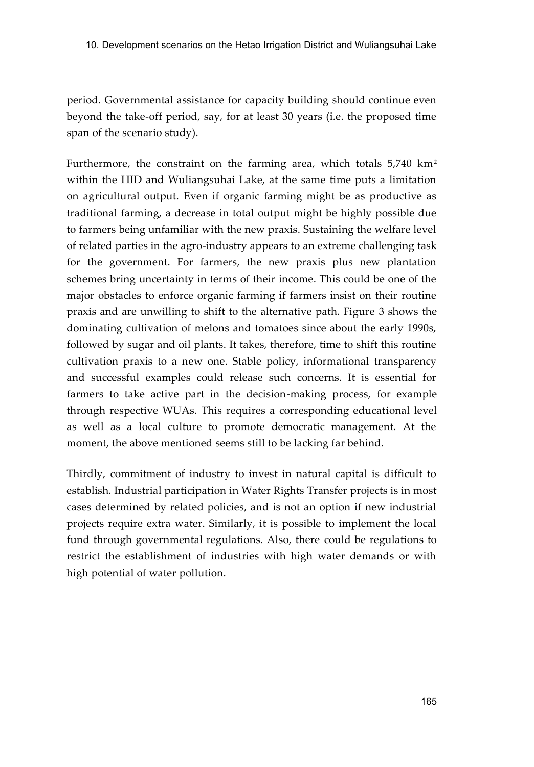period. Governmental assistance for capacity building should continue even beyond the take-off period, say, for at least 30 years (i.e. the proposed time span of the scenario study).

Furthermore, the constraint on the farming area, which totals 5,740 km² within the HID and Wuliangsuhai Lake, at the same time puts a limitation on agricultural output. Even if organic farming might be as productive as traditional farming, a decrease in total output might be highly possible due to farmers being unfamiliar with the new praxis. Sustaining the welfare level of related parties in the agro-industry appears to an extreme challenging task for the government. For farmers, the new praxis plus new plantation schemes bring uncertainty in terms of their income. This could be one of the major obstacles to enforce organic farming if farmers insist on their routine praxis and are unwilling to shift to the alternative path. Figure 3 shows the dominating cultivation of melons and tomatoes since about the early 1990s, followed by sugar and oil plants. It takes, therefore, time to shift this routine cultivation praxis to a new one. Stable policy, informational transparency and successful examples could release such concerns. It is essential for farmers to take active part in the decision-making process, for example through respective WUAs. This requires a corresponding educational level as well as a local culture to promote democratic management. At the moment, the above mentioned seems still to be lacking far behind.

Thirdly, commitment of industry to invest in natural capital is difficult to establish. Industrial participation in Water Rights Transfer projects is in most cases determined by related policies, and is not an option if new industrial projects require extra water. Similarly, it is possible to implement the local fund through governmental regulations. Also, there could be regulations to restrict the establishment of industries with high water demands or with high potential of water pollution.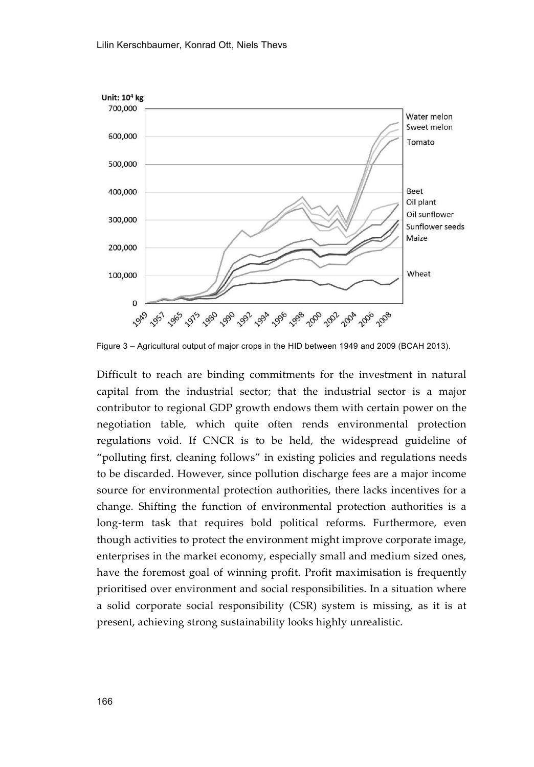

Figure 3 – Agricultural output of major crops in the HID between 1949 and 2009 (BCAH 2013).

Difficult to reach are binding commitments for the investment in natural capital from the industrial sector; that the industrial sector is a major contributor to regional GDP growth endows them with certain power on the negotiation table, which quite often rends environmental protection regulations void. If CNCR is to be held, the widespread guideline of "polluting first, cleaning follows" in existing policies and regulations needs to be discarded. However, since pollution discharge fees are a major income source for environmental protection authorities, there lacks incentives for a change. Shifting the function of environmental protection authorities is a long-term task that requires bold political reforms. Furthermore, even though activities to protect the environment might improve corporate image, enterprises in the market economy, especially small and medium sized ones, have the foremost goal of winning profit. Profit maximisation is frequently prioritised over environment and social responsibilities. In a situation where a solid corporate social responsibility (CSR) system is missing, as it is at present, achieving strong sustainability looks highly unrealistic.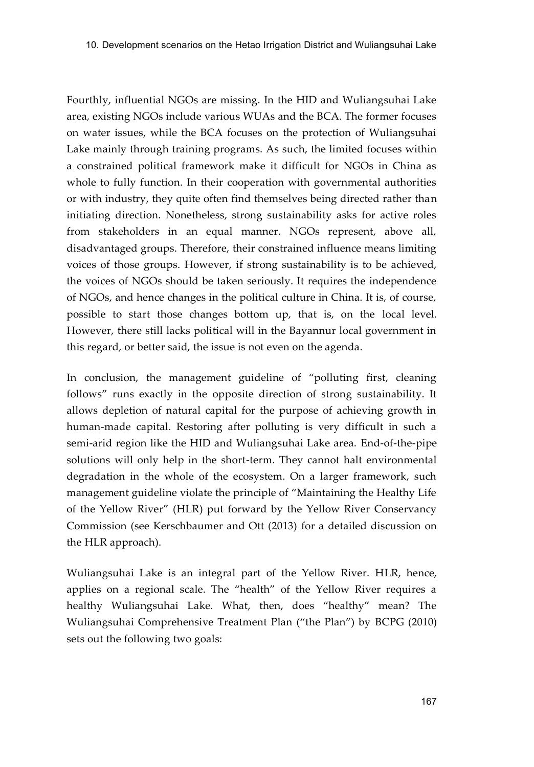Fourthly, influential NGOs are missing. In the HID and Wuliangsuhai Lake area, existing NGOs include various WUAs and the BCA. The former focuses on water issues, while the BCA focuses on the protection of Wuliangsuhai Lake mainly through training programs. As such, the limited focuses within a constrained political framework make it difficult for NGOs in China as whole to fully function. In their cooperation with governmental authorities or with industry, they quite often find themselves being directed rather than initiating direction. Nonetheless, strong sustainability asks for active roles from stakeholders in an equal manner. NGOs represent, above all, disadvantaged groups. Therefore, their constrained influence means limiting voices of those groups. However, if strong sustainability is to be achieved, the voices of NGOs should be taken seriously. It requires the independence of NGOs, and hence changes in the political culture in China. It is, of course, possible to start those changes bottom up, that is, on the local level. However, there still lacks political will in the Bayannur local government in this regard, or better said, the issue is not even on the agenda.

In conclusion, the management guideline of "polluting first, cleaning follows" runs exactly in the opposite direction of strong sustainability. It allows depletion of natural capital for the purpose of achieving growth in human-made capital. Restoring after polluting is very difficult in such a semi-arid region like the HID and Wuliangsuhai Lake area. End-of-the-pipe solutions will only help in the short-term. They cannot halt environmental degradation in the whole of the ecosystem. On a larger framework, such management guideline violate the principle of "Maintaining the Healthy Life of the Yellow River" (HLR) put forward by the Yellow River Conservancy Commission (see Kerschbaumer and Ott (2013) for a detailed discussion on the HLR approach).

Wuliangsuhai Lake is an integral part of the Yellow River. HLR, hence, applies on a regional scale. The "health" of the Yellow River requires a healthy Wuliangsuhai Lake. What, then, does "healthy" mean? The Wuliangsuhai Comprehensive Treatment Plan ("the Plan") by BCPG (2010) sets out the following two goals: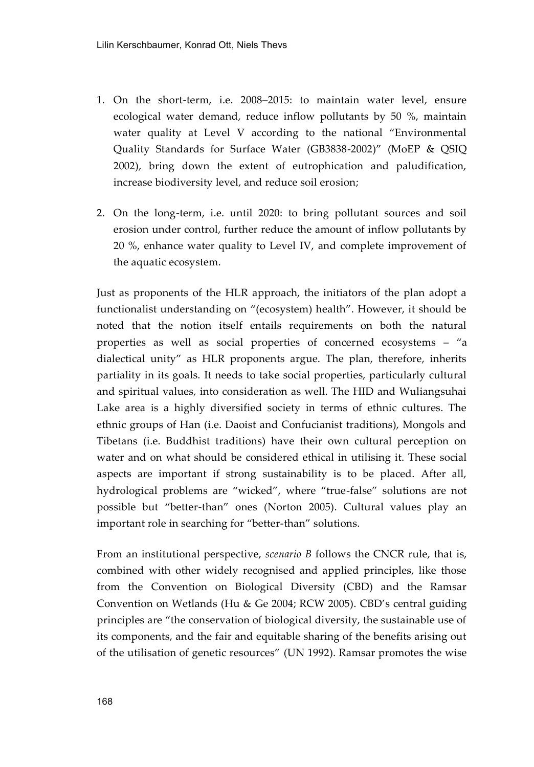- 1. On the short-term, i.e. 2008–2015: to maintain water level, ensure ecological water demand, reduce inflow pollutants by 50 %, maintain water quality at Level V according to the national "Environmental Quality Standards for Surface Water (GB3838-2002)" (MoEP & QSIQ 2002), bring down the extent of eutrophication and paludification, increase biodiversity level, and reduce soil erosion;
- 2. On the long-term, i.e. until 2020: to bring pollutant sources and soil erosion under control, further reduce the amount of inflow pollutants by 20 %, enhance water quality to Level IV, and complete improvement of the aquatic ecosystem.

Just as proponents of the HLR approach, the initiators of the plan adopt a functionalist understanding on "(ecosystem) health". However, it should be noted that the notion itself entails requirements on both the natural properties as well as social properties of concerned ecosystems – "a dialectical unity" as HLR proponents argue. The plan, therefore, inherits partiality in its goals. It needs to take social properties, particularly cultural and spiritual values, into consideration as well. The HID and Wuliangsuhai Lake area is a highly diversified society in terms of ethnic cultures. The ethnic groups of Han (i.e. Daoist and Confucianist traditions), Mongols and Tibetans (i.e. Buddhist traditions) have their own cultural perception on water and on what should be considered ethical in utilising it. These social aspects are important if strong sustainability is to be placed. After all, hydrological problems are "wicked", where "true-false" solutions are not possible but "better-than" ones (Norton 2005). Cultural values play an important role in searching for "better-than" solutions.

From an institutional perspective, *scenario B* follows the CNCR rule, that is, combined with other widely recognised and applied principles, like those from the Convention on Biological Diversity (CBD) and the Ramsar Convention on Wetlands (Hu & Ge 2004; RCW 2005). CBD's central guiding principles are "the conservation of biological diversity, the sustainable use of its components, and the fair and equitable sharing of the benefits arising out of the utilisation of genetic resources" (UN 1992). Ramsar promotes the wise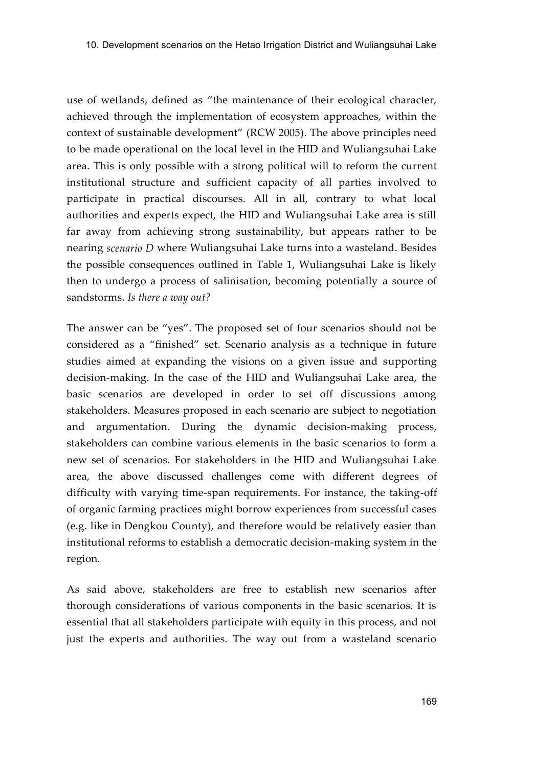use of wetlands, defined as "the maintenance of their ecological character, achieved through the implementation of ecosystem approaches, within the context of sustainable development" (RCW 2005). The above principles need to be made operational on the local level in the HID and Wuliangsuhai Lake area. This is only possible with a strong political will to reform the current institutional structure and sufficient capacity of all parties involved to participate in practical discourses. All in all, contrary to what local authorities and experts expect, the HID and Wuliangsuhai Lake area is still far away from achieving strong sustainability, but appears rather to be nearing *scenario D* where Wuliangsuhai Lake turns into a wasteland. Besides the possible consequences outlined in Table 1, Wuliangsuhai Lake is likely then to undergo a process of salinisation, becoming potentially a source of sandstorms. *Is there a way out?*

The answer can be "yes". The proposed set of four scenarios should not be considered as a "finished" set. Scenario analysis as a technique in future studies aimed at expanding the visions on a given issue and supporting decision-making. In the case of the HID and Wuliangsuhai Lake area, the basic scenarios are developed in order to set off discussions among stakeholders. Measures proposed in each scenario are subject to negotiation and argumentation. During the dynamic decision-making process, stakeholders can combine various elements in the basic scenarios to form a new set of scenarios. For stakeholders in the HID and Wuliangsuhai Lake area, the above discussed challenges come with different degrees of difficulty with varying time-span requirements. For instance, the taking-off of organic farming practices might borrow experiences from successful cases (e.g. like in Dengkou County), and therefore would be relatively easier than institutional reforms to establish a democratic decision-making system in the region.

As said above, stakeholders are free to establish new scenarios after thorough considerations of various components in the basic scenarios. It is essential that all stakeholders participate with equity in this process, and not just the experts and authorities. The way out from a wasteland scenario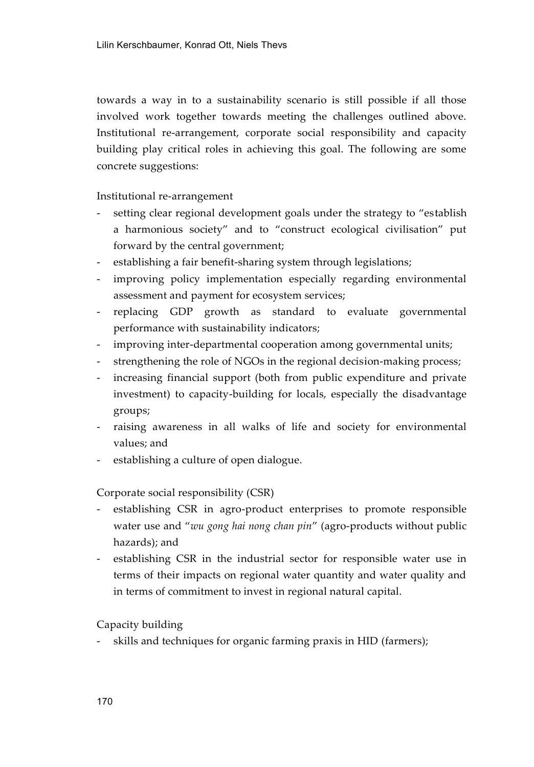towards a way in to a sustainability scenario is still possible if all those involved work together towards meeting the challenges outlined above. Institutional re-arrangement, corporate social responsibility and capacity building play critical roles in achieving this goal. The following are some concrete suggestions:

Institutional re-arrangement

- setting clear regional development goals under the strategy to "establish" a harmonious society" and to "construct ecological civilisation" put forward by the central government;
- establishing a fair benefit-sharing system through legislations;
- improving policy implementation especially regarding environmental assessment and payment for ecosystem services;
- replacing GDP growth as standard to evaluate governmental performance with sustainability indicators;
- improving inter-departmental cooperation among governmental units;
- strengthening the role of NGOs in the regional decision-making process;
- increasing financial support (both from public expenditure and private investment) to capacity-building for locals, especially the disadvantage groups;
- raising awareness in all walks of life and society for environmental values; and
- establishing a culture of open dialogue.

Corporate social responsibility (CSR)

- establishing CSR in agro-product enterprises to promote responsible water use and "*wu gong hai nong chan pin*" (agro-products without public hazards); and
- establishing CSR in the industrial sector for responsible water use in terms of their impacts on regional water quantity and water quality and in terms of commitment to invest in regional natural capital.

Capacity building

skills and techniques for organic farming praxis in HID (farmers);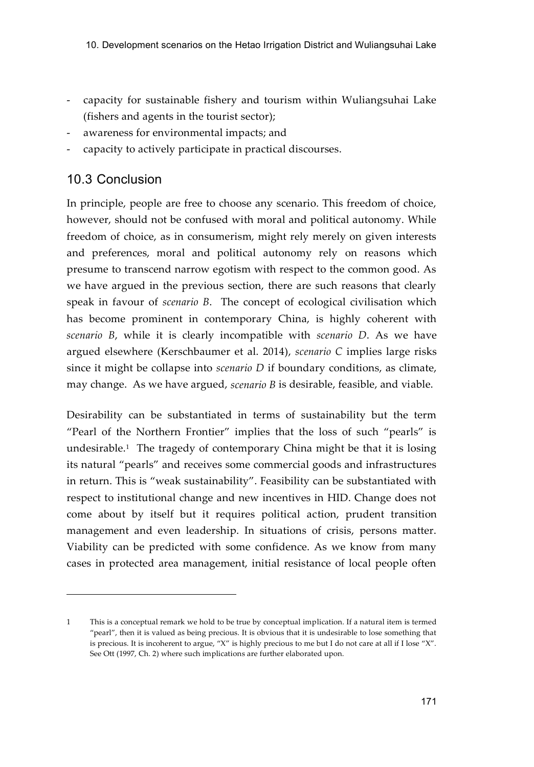- capacity for sustainable fishery and tourism within Wuliangsuhai Lake (fishers and agents in the tourist sector);
- awareness for environmental impacts; and
- capacity to actively participate in practical discourses.

## 10.3 Conclusion

j

In principle, people are free to choose any scenario. This freedom of choice, however, should not be confused with moral and political autonomy. While freedom of choice, as in consumerism, might rely merely on given interests and preferences, moral and political autonomy rely on reasons which presume to transcend narrow egotism with respect to the common good. As we have argued in the previous section, there are such reasons that clearly speak in favour of *scenario B*. The concept of ecological civilisation which has become prominent in contemporary China, is highly coherent with *scenario B*, while it is clearly incompatible with *scenario D*. As we have argued elsewhere (Kerschbaumer et al. 2014), *scenario C* implies large risks since it might be collapse into *scenario D* if boundary conditions, as climate, may change. As we have argued, *scenario B* is desirable, feasible, and viable.

Desirability can be substantiated in terms of sustainability but the term "Pearl of the Northern Frontier" implies that the loss of such "pearls" is undesirable.<sup>1</sup> The tragedy of contemporary China might be that it is losing its natural "pearls" and receives some commercial goods and infrastructures in return. This is "weak sustainability". Feasibility can be substantiated with respect to institutional change and new incentives in HID. Change does not come about by itself but it requires political action, prudent transition management and even leadership. In situations of crisis, persons matter. Viability can be predicted with some confidence. As we know from many cases in protected area management, initial resistance of local people often

<sup>1</sup> This is a conceptual remark we hold to be true by conceptual implication. If a natural item is termed "pearl", then it is valued as being precious. It is obvious that it is undesirable to lose something that is precious. It is incoherent to argue, "X" is highly precious to me but I do not care at all if I lose "X". See Ott (1997, Ch. 2) where such implications are further elaborated upon.